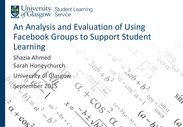

# An Analysis and Evaluation of Using Facebook Groups to Support Student Learning

Shazia Ahmed Sarah Honeychurch

University of Glasgow September 201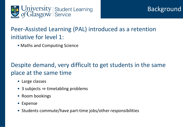

### Peer-Assisted Learning (PAL) introduced as a retention initiative for level 1:

• Maths and Computing Science

### Despite demand, very difficult to get students in the same place at the same time

- Large classes
- 3 subjects  $\Rightarrow$  timetabling problems
- Room bookings
- Expense
- Students commute/have part-time jobs/other responsibilities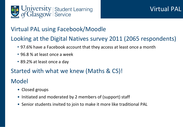

#### Virtual PAL using Facebook/Moodle

### Looking at the Digital Natives survey 2011 (2065 respondents)

- 97.6% have a Facebook account that they access at least once a month
- 96.8 % at least once a week
- 89.2% at least once a day

#### Started with what we knew (Maths & CS)!

### Model

- Closed groups
- Initiated and moderated by 2 members of (support) staff
- Senior students invited to join to make it more like traditional PAL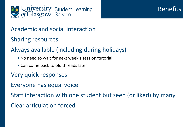

### **Benefits**

#### Academic and social interaction

Sharing resources

### Always available (including during holidays)

- No need to wait for next week's session/tutorial
- Can come back to old threads later
- Very quick responses
- Everyone has equal voice

Staff interaction with one student but seen (or liked) by many

Clear articulation forced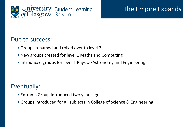

### The Empire Expands

#### Due to success:

- Groups renamed and rolled over to level 2
- New groups created for level 1 Maths and Computing
- Introduced groups for level 1 Physics/Astronomy and Engineering

#### Eventually:

- Entrants Group introduced two years ago
- Groups introduced for all subjects in College of Science & Engineering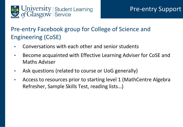

### Pre-entry Facebook group for College of Science and Engineering (CoSE)

- Conversations with each other and senior students
- Become acquainted with Effective Learning Adviser for CoSE and Maths Adviser
- Ask questions (related to course or UoG generally)
- Access to resources prior to starting level 1 (MathCentre Algebra Refresher, Sample Skills Test, reading lists…)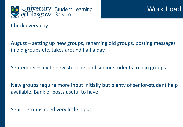

Check every day!

August – setting up new groups, renaming old groups, posting messages in old groups etc. takes around half a day

September – invite new students and senior students to join groups

New groups require more input initially but plenty of senior-student help available. Bank of posts useful to have

Senior groups need very little input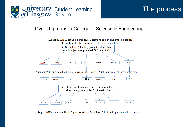

### The process

#### Over 40 groups in College of Science & Engineering



August 2015: rename all level 2 groups to level 3, all level 1 to 2, set up new level 1 groups.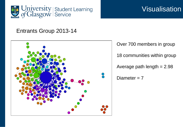

### **Visualisation**

#### Entrants Group 2013-14



Over 700 members in group 18 communities within group Average path length  $= 2.98$ Diameter  $= 7$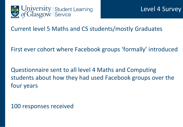

Current level 5 Maths and CS students/mostly Graduates

First ever cohort where Facebook groups 'formally' introduced

Questionnaire sent to all level 4 Maths and Computing students about how they had used Facebook groups over the four years

100 responses received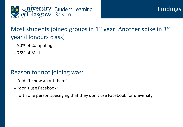

### Most students joined groups in 1<sup>st</sup> year. Another spike in 3<sup>rd</sup> year (Honours class)

- 90% of Computing
- 75% of Maths

#### Reason for not joining was:

- "didn't know about them"
- "don't use Facebook"
- with one person specifying that they don't use Facebook for university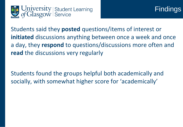



Students said they **posted** questions/items of interest or **initiated** discussions anything between once a week and once a day, they **respond** to questions/discussions more often and **read** the discussions very regularly

Students found the groups helpful both academically and socially, with somewhat higher score for 'academically'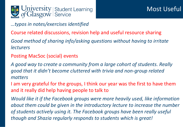

*…typos in notes/exercises identified*

Course related discussions, revision help and useful resource sharing

*Good method of sharing info/asking questions without having to irritate lecturers*

Posting MacSoc (social) events

*A good way to create a community from a large cohort of students. Really good that it didn't become cluttered with trivia and non-group related matters*

I am very grateful for the groups, I think our year was the first to have them and it really did help having people to talk to

*Would like it if the Facebook groups were more heavily used, like information about them could be given in the introductory lecture to increase the number of students actively using it. The Facebook groups have been really useful though and Shazia regularly responds to students which is great!*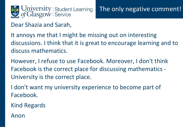

Dear Shazia and Sarah,

It annoys me that I might be missing out on interesting discussions. I think that it is great to encourage learning and to discuss mathematics.

However, I refuse to use Facebook. Moreover, I don't think Facebook is the correct place for discussing mathematics - University is the correct place.

I don't want my university experience to become part of Facebook.

Kind Regards

Anon